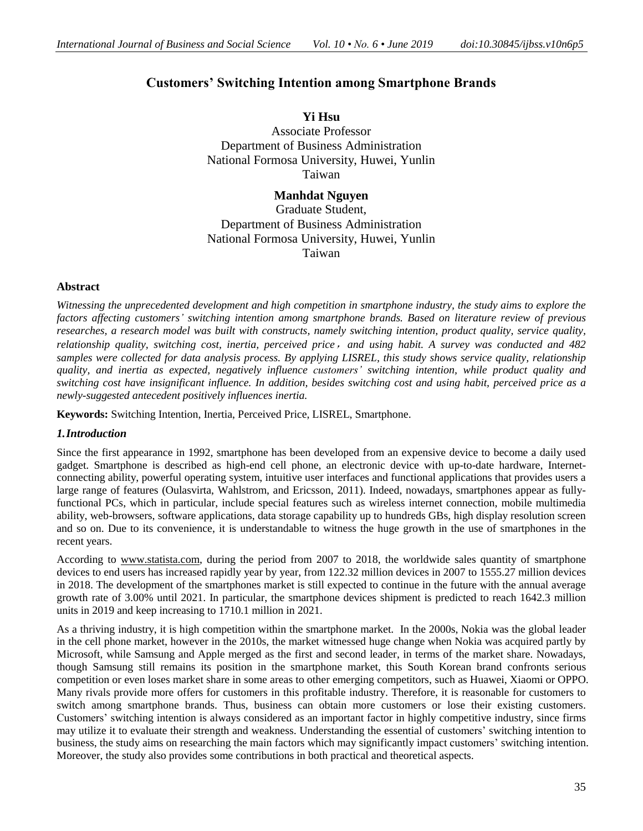# **Customers' Switching Intention among Smartphone Brands**

**Yi Hsu** Associate Professor Department of Business Administration National Formosa University, Huwei, Yunlin Taiwan

**Manhdat Nguyen** Graduate Student, Department of Business Administration National Formosa University, Huwei, Yunlin Taiwan

# **Abstract**

*Witnessing the unprecedented development and high competition in smartphone industry, the study aims to explore the factors affecting customers' switching intention among smartphone brands. Based on literature review of previous researches, a research model was built with constructs, namely switching intention, product quality, service quality, relationship quality, switching cost, inertia, perceived price*,*and using habit. A survey was conducted and 482 samples were collected for data analysis process. By applying LISREL, this study shows service quality, relationship quality, and inertia as expected, negatively influence customers' switching intention, while product quality and switching cost have insignificant influence. In addition, besides switching cost and using habit, perceived price as a newly-suggested antecedent positively influences inertia.* 

**Keywords:** Switching Intention, Inertia, Perceived Price, LISREL, Smartphone.

# *1.Introduction*

Since the first appearance in 1992, smartphone has been developed from an expensive device to become a daily used gadget. Smartphone is described as high-end cell phone, an electronic device with up-to-date hardware, Internetconnecting ability, powerful operating system, intuitive user interfaces and functional applications that provides users a large range of features (Oulasvirta, Wahlstrom, and Ericsson, 2011). Indeed, nowadays, smartphones appear as fullyfunctional PCs, which in particular, include special features such as wireless internet connection, mobile multimedia ability, web-browsers, software applications, data storage capability up to hundreds GBs, high display resolution screen and so on. Due to its convenience, it is understandable to witness the huge growth in the use of smartphones in the recent years.

According to www.statista.com, during the period from 2007 to 2018, the worldwide sales quantity of smartphone devices to end users has increased rapidly year by year, from 122.32 million devices in 2007 to 1555.27 million devices in 2018. The development of the smartphones market is still expected to continue in the future with the annual average growth rate of 3.00% until 2021. In particular, the smartphone devices shipment is predicted to reach 1642.3 million units in 2019 and keep increasing to 1710.1 million in 2021.

As a thriving industry, it is high competition within the smartphone market. In the 2000s, Nokia was the global leader in the cell phone market, however in the 2010s, the market witnessed huge change when Nokia was acquired partly by Microsoft, while Samsung and Apple merged as the first and second leader, in terms of the market share. Nowadays, though Samsung still remains its position in the smartphone market, this South Korean brand confronts serious competition or even loses market share in some areas to other emerging competitors, such as Huawei, Xiaomi or OPPO. Many rivals provide more offers for customers in this profitable industry. Therefore, it is reasonable for customers to switch among smartphone brands. Thus, business can obtain more customers or lose their existing customers. Customers' switching intention is always considered as an important factor in highly competitive industry, since firms may utilize it to evaluate their strength and weakness. Understanding the essential of customers' switching intention to business, the study aims on researching the main factors which may significantly impact customers' switching intention. Moreover, the study also provides some contributions in both practical and theoretical aspects.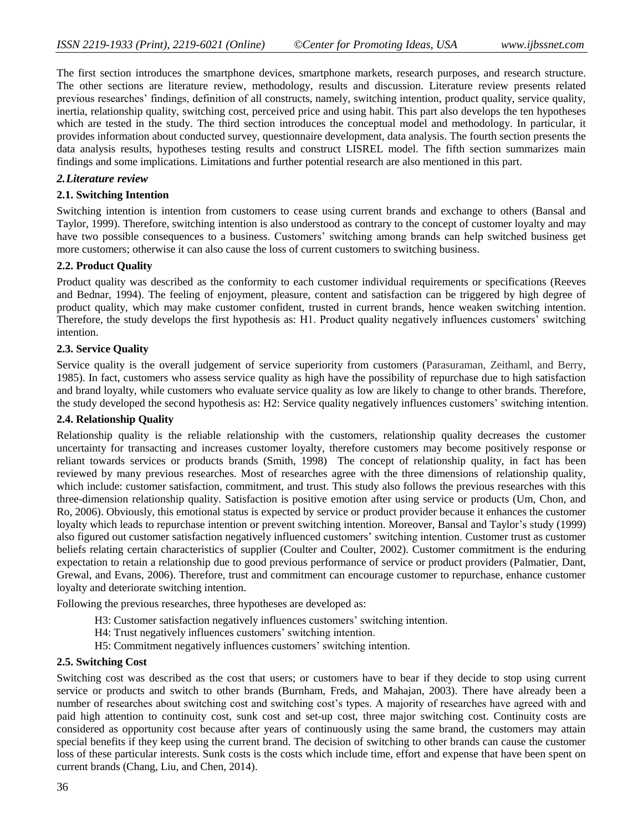The first section introduces the smartphone devices, smartphone markets, research purposes, and research structure. The other sections are literature review, methodology, results and discussion. Literature review presents related previous researches' findings, definition of all constructs, namely, switching intention, product quality, service quality, inertia, relationship quality, switching cost, perceived price and using habit. This part also develops the ten hypotheses which are tested in the study. The third section introduces the conceptual model and methodology. In particular, it provides information about conducted survey, questionnaire development, data analysis. The fourth section presents the data analysis results, hypotheses testing results and construct LISREL model. The fifth section summarizes main findings and some implications. Limitations and further potential research are also mentioned in this part.

### *2.Literature review*

### **2.1. Switching Intention**

Switching intention is intention from customers to cease using current brands and exchange to others (Bansal and Taylor, 1999). Therefore, switching intention is also understood as contrary to the concept of customer loyalty and may have two possible consequences to a business. Customers' switching among brands can help switched business get more customers; otherwise it can also cause the loss of current customers to switching business.

### **2.2. Product Quality**

Product quality was described as the conformity to each customer individual requirements or specifications (Reeves and Bednar, 1994). The feeling of enjoyment, pleasure, content and satisfaction can be triggered by high degree of product quality, which may make customer confident, trusted in current brands, hence weaken switching intention. Therefore, the study develops the first hypothesis as: H1. Product quality negatively influences customers' switching intention.

### **2.3. Service Quality**

Service quality is the overall judgement of service superiority from customers (Parasuraman, Zeithaml, and Berry, 1985). In fact, customers who assess service quality as high have the possibility of repurchase due to high satisfaction and brand loyalty, while customers who evaluate service quality as low are likely to change to other brands. Therefore, the study developed the second hypothesis as: H2: Service quality negatively influences customers' switching intention.

#### **2.4. Relationship Quality**

Relationship quality is the reliable relationship with the customers, relationship quality decreases the customer uncertainty for transacting and increases customer loyalty, therefore customers may become positively response or reliant towards services or products brands (Smith, 1998) The concept of relationship quality, in fact has been reviewed by many previous researches. Most of researches agree with the three dimensions of relationship quality, which include: customer satisfaction, commitment, and trust. This study also follows the previous researches with this three-dimension relationship quality. Satisfaction is positive emotion after using service or products (Um, Chon, and Ro, 2006). Obviously, this emotional status is expected by service or product provider because it enhances the customer loyalty which leads to repurchase intention or prevent switching intention. Moreover, Bansal and Taylor's study (1999) also figured out customer satisfaction negatively influenced customers' switching intention. Customer trust as customer beliefs relating certain characteristics of supplier (Coulter and Coulter, 2002). Customer commitment is the enduring expectation to retain a relationship due to good previous performance of service or product providers (Palmatier, Dant, Grewal, and Evans, 2006). Therefore, trust and commitment can encourage customer to repurchase, enhance customer loyalty and deteriorate switching intention.

Following the previous researches, three hypotheses are developed as:

- H3: Customer satisfaction negatively influences customers' switching intention.
- H4: Trust negatively influences customers' switching intention.
- H5: Commitment negatively influences customers' switching intention.

#### **2.5. Switching Cost**

Switching cost was described as the cost that users; or customers have to bear if they decide to stop using current service or products and switch to other brands (Burnham, Freds, and Mahajan, 2003). There have already been a number of researches about switching cost and switching cost's types. A majority of researches have agreed with and paid high attention to continuity cost, sunk cost and set-up cost, three major switching cost. Continuity costs are considered as opportunity cost because after years of continuously using the same brand, the customers may attain special benefits if they keep using the current brand. The decision of switching to other brands can cause the customer loss of these particular interests. Sunk costs is the costs which include time, effort and expense that have been spent on current brands (Chang, Liu, and Chen, 2014).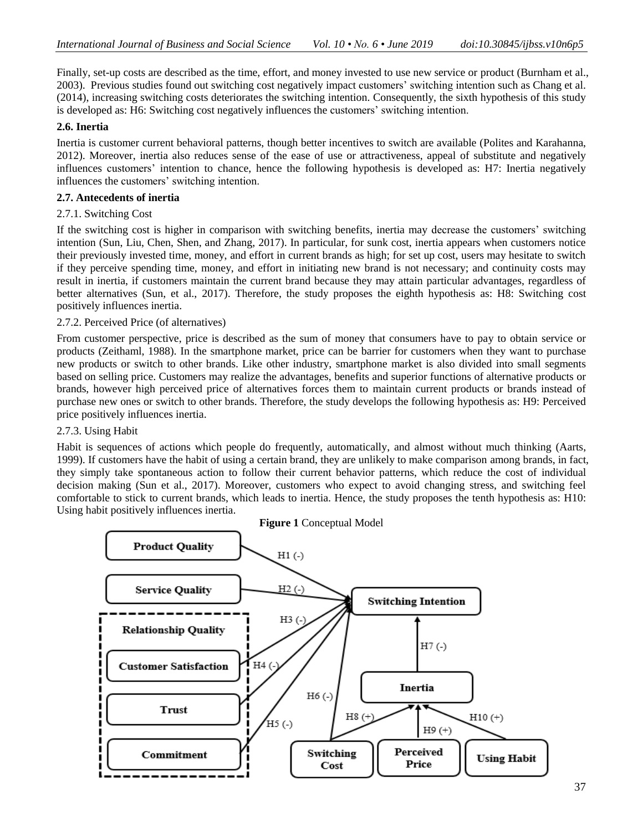Finally, set-up costs are described as the time, effort, and money invested to use new service or product (Burnham et al., 2003). Previous studies found out switching cost negatively impact customers' switching intention such as Chang et al. (2014), increasing switching costs deteriorates the switching intention. Consequently, the sixth hypothesis of this study is developed as: H6: Switching cost negatively influences the customers' switching intention.

# **2.6. Inertia**

Inertia is customer current behavioral patterns, though better incentives to switch are available (Polites and Karahanna, 2012). Moreover, inertia also reduces sense of the ease of use or attractiveness, appeal of substitute and negatively influences customers' intention to chance, hence the following hypothesis is developed as: H7: Inertia negatively influences the customers' switching intention.

## **2.7. Antecedents of inertia**

### 2.7.1. Switching Cost

If the switching cost is higher in comparison with switching benefits, inertia may decrease the customers' switching intention (Sun, Liu, Chen, Shen, and Zhang, 2017). In particular, for sunk cost, inertia appears when customers notice their previously invested time, money, and effort in current brands as high; for set up cost, users may hesitate to switch if they perceive spending time, money, and effort in initiating new brand is not necessary; and continuity costs may result in inertia, if customers maintain the current brand because they may attain particular advantages, regardless of better alternatives (Sun, et al., 2017). Therefore, the study proposes the eighth hypothesis as: H8: Switching cost positively influences inertia.

### 2.7.2. Perceived Price (of alternatives)

From customer perspective, price is described as the sum of money that consumers have to pay to obtain service or products [\(Zeithaml, 1988\)](https://www.sciencedirect.com/science/article/pii/S102931321500041X#bib55). In the smartphone market, price can be barrier for customers when they want to purchase new products or switch to other brands. Like other industry, smartphone market is also divided into small segments based on selling price. Customers may realize the advantages, benefits and superior functions of alternative products or brands, however high perceived price of alternatives forces them to maintain current products or brands instead of purchase new ones or switch to other brands. Therefore, the study develops the following hypothesis as: H9: Perceived price positively influences inertia.

# 2.7.3. Using Habit

Habit is sequences of actions which people do frequently, automatically, and almost without much thinking (Aarts, 1999). If customers have the habit of using a certain brand, they are unlikely to make comparison among brands, in fact, they simply take spontaneous action to follow their current behavior patterns, which reduce the cost of individual decision making (Sun et al., 2017). Moreover, customers who expect to avoid changing stress, and switching feel comfortable to stick to current brands, which leads to inertia. Hence, the study proposes the tenth hypothesis as: H10: Using habit positively influences inertia.

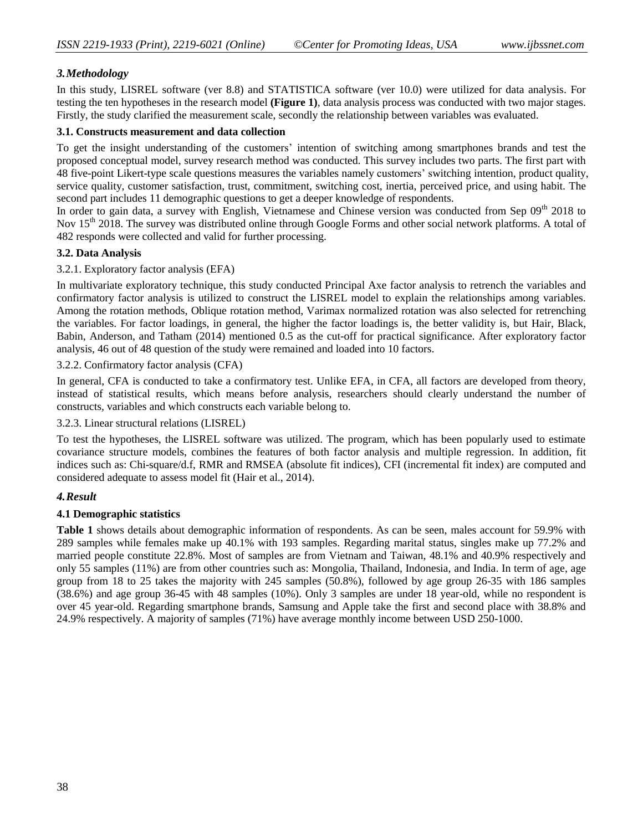# *3.Methodology*

In this study, LISREL software (ver 8.8) and STATISTICA software (ver 10.0) were utilized for data analysis. For testing the ten hypotheses in the research model **(Figure 1)**, data analysis process was conducted with two major stages. Firstly, the study clarified the measurement scale, secondly the relationship between variables was evaluated.

### **3.1. Constructs measurement and data collection**

To get the insight understanding of the customers' intention of switching among smartphones brands and test the proposed conceptual model, survey research method was conducted. This survey includes two parts. The first part with 48 five-point Likert-type scale questions measures the variables namely customers' switching intention, product quality, service quality, customer satisfaction, trust, commitment, switching cost, inertia, perceived price, and using habit. The second part includes 11 demographic questions to get a deeper knowledge of respondents.

In order to gain data, a survey with English, Vietnamese and Chinese version was conducted from Sep 09<sup>th</sup> 2018 to Nov 15<sup>th</sup> 2018. The survey was distributed online through Google Forms and other social network platforms. A total of 482 responds were collected and valid for further processing.

### **3.2. Data Analysis**

# 3.2.1. Exploratory factor analysis (EFA)

In multivariate exploratory technique, this study conducted Principal Axe factor analysis to retrench the variables and confirmatory factor analysis is utilized to construct the LISREL model to explain the relationships among variables. Among the rotation methods, Oblique rotation method, Varimax normalized rotation was also selected for retrenching the variables. For factor loadings, in general, the higher the factor loadings is, the better validity is, but Hair, Black, Babin, Anderson, and Tatham (2014) mentioned 0.5 as the cut-off for practical significance. After exploratory factor analysis, 46 out of 48 question of the study were remained and loaded into 10 factors.

### 3.2.2. Confirmatory factor analysis (CFA)

In general, CFA is conducted to take a confirmatory test. Unlike EFA, in CFA, all factors are developed from theory, instead of statistical results, which means before analysis, researchers should clearly understand the number of constructs, variables and which constructs each variable belong to.

#### 3.2.3. Linear structural relations (LISREL)

To test the hypotheses, the LISREL software was utilized. The program, which has been popularly used to estimate covariance structure models, combines the features of both factor analysis and multiple regression. In addition, fit indices such as: Chi-square/d.f, RMR and RMSEA (absolute fit indices), CFI (incremental fit index) are computed and considered adequate to assess model fit (Hair et al., 2014).

# *4.Result*

# **4.1 Demographic statistics**

**Table 1** shows details about demographic information of respondents. As can be seen, males account for 59.9% with 289 samples while females make up 40.1% with 193 samples. Regarding marital status, singles make up 77.2% and married people constitute 22.8%. Most of samples are from Vietnam and Taiwan, 48.1% and 40.9% respectively and only 55 samples (11%) are from other countries such as: Mongolia, Thailand, Indonesia, and India. In term of age, age group from 18 to 25 takes the majority with 245 samples (50.8%), followed by age group 26-35 with 186 samples (38.6%) and age group 36-45 with 48 samples (10%). Only 3 samples are under 18 year-old, while no respondent is over 45 year-old. Regarding smartphone brands, Samsung and Apple take the first and second place with 38.8% and 24.9% respectively. A majority of samples (71%) have average monthly income between USD 250-1000.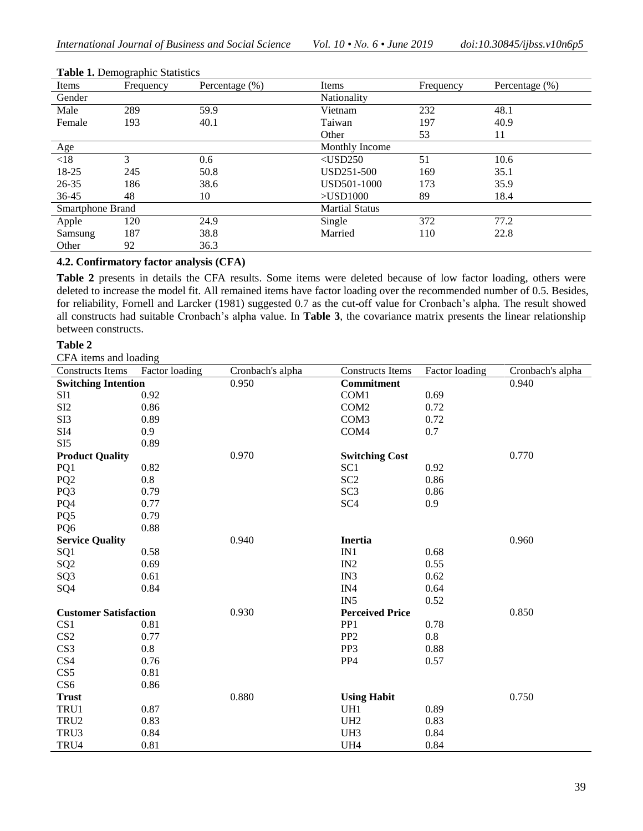| Items            | Frequency | Percentage $(\% )$ | Items                 | Frequency | Percentage $(\% )$ |  |  |
|------------------|-----------|--------------------|-----------------------|-----------|--------------------|--|--|
| Gender           |           |                    | Nationality           |           |                    |  |  |
| Male             | 289       | 59.9               | Vietnam               | 232       | 48.1               |  |  |
| Female           | 193       | 40.1               | Taiwan                | 197       | 40.9               |  |  |
|                  |           |                    | Other                 | 53        | 11                 |  |  |
| Age              |           |                    | Monthly Income        |           |                    |  |  |
| < 18             | 3         | 0.6                | $<$ USD250            | 51        | 10.6               |  |  |
| 18-25            | 245       | 50.8               | USD251-500            | 169       | 35.1               |  |  |
| 26-35            | 186       | 38.6               | USD501-1000           | 173       | 35.9               |  |  |
| $36 - 45$        | 48        | 10                 | $>$ USD $1000$        | 89        | 18.4               |  |  |
| Smartphone Brand |           |                    | <b>Martial Status</b> |           |                    |  |  |
| Apple            | 120       | 24.9               | Single                | 372       | 77.2               |  |  |
| Samsung          | 187       | 38.8               | Married               | 110       | 22.8               |  |  |
| Other            | 92        | 36.3               |                       |           |                    |  |  |

#### **Table 1.** Demographic Statistics

# **4.2. Confirmatory factor analysis (CFA)**

**Table 2** presents in details the CFA results. Some items were deleted because of low factor loading, others were deleted to increase the model fit. All remained items have factor loading over the recommended number of 0.5. Besides, for reliability, Fornell and Larcker (1981) suggested 0.7 as the cut-off value for Cronbach's alpha. The result showed all constructs had suitable Cronbach's alpha value. In **Table 3**, the covariance matrix presents the linear relationship between constructs.

#### **Table 2**

CFA items and loading

| <b>Constructs Items</b>      | Factor loading | Cronbach's alpha | <b>Constructs Items</b> | Factor loading | Cronbach's alpha |
|------------------------------|----------------|------------------|-------------------------|----------------|------------------|
| <b>Switching Intention</b>   |                | 0.950            | Commitment              |                | 0.940            |
| SI <sub>1</sub>              | 0.92           |                  | COM1                    | 0.69           |                  |
| SI <sub>2</sub>              | 0.86           |                  | COM <sub>2</sub>        | 0.72           |                  |
| SI3                          | 0.89           |                  | COM <sub>3</sub>        | 0.72           |                  |
| SI <sub>4</sub>              | 0.9            |                  | COM4                    | 0.7            |                  |
| SI <sub>5</sub>              | 0.89           |                  |                         |                |                  |
| <b>Product Quality</b>       |                | 0.970            | <b>Switching Cost</b>   |                | 0.770            |
| PQ1                          | 0.82           |                  | SC <sub>1</sub>         | 0.92           |                  |
| PQ <sub>2</sub>              | 0.8            |                  | SC <sub>2</sub>         | 0.86           |                  |
| PQ3                          | 0.79           |                  | SC <sub>3</sub>         | 0.86           |                  |
| PQ4                          | 0.77           |                  | SC <sub>4</sub>         | 0.9            |                  |
| PQ5                          | 0.79           |                  |                         |                |                  |
| PQ6                          | 0.88           |                  |                         |                |                  |
| <b>Service Quality</b>       |                | 0.940            | <b>Inertia</b>          |                | 0.960            |
| SQ1                          | 0.58           |                  | IN1                     | 0.68           |                  |
| SQ <sub>2</sub>              | 0.69           |                  | IN2                     | 0.55           |                  |
| SQ <sub>3</sub>              | 0.61           |                  | IN3                     | 0.62           |                  |
| SQ4                          | 0.84           |                  | IN4                     | 0.64           |                  |
|                              |                |                  | IN <sub>5</sub>         | 0.52           |                  |
| <b>Customer Satisfaction</b> |                | 0.930            | <b>Perceived Price</b>  |                | 0.850            |
| CS <sub>1</sub>              | 0.81           |                  | PP <sub>1</sub>         | 0.78           |                  |
| CS <sub>2</sub>              | 0.77           |                  | PP <sub>2</sub>         | 0.8            |                  |
| CS <sub>3</sub>              | 0.8            |                  | PP3                     | 0.88           |                  |
| CS4                          | 0.76           |                  | PP4                     | 0.57           |                  |
| CS5                          | 0.81           |                  |                         |                |                  |
| CS <sub>6</sub>              | 0.86           |                  |                         |                |                  |
| <b>Trust</b>                 |                | 0.880            | <b>Using Habit</b>      |                | 0.750            |
| TRU1                         | 0.87           |                  | UH1                     | 0.89           |                  |
| TRU <sub>2</sub>             | 0.83           |                  | UH <sub>2</sub>         | 0.83           |                  |
| TRU3                         | 0.84           |                  | UH3                     | 0.84           |                  |
| TRU4                         | 0.81           |                  | UH4                     | 0.84           |                  |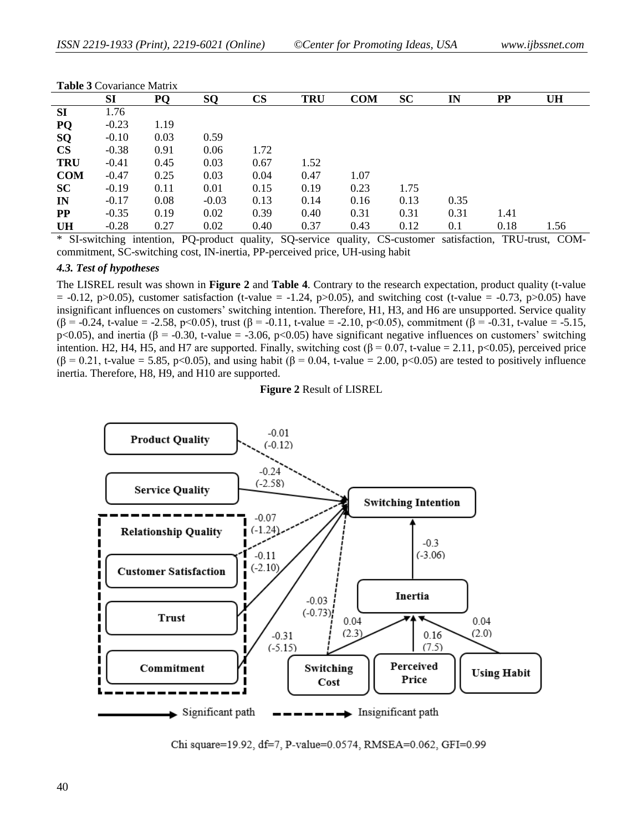|               | <b>Table 5</b> Covariance Matrix |      |         |               |            |            |           |      |          |           |  |
|---------------|----------------------------------|------|---------|---------------|------------|------------|-----------|------|----------|-----------|--|
|               | <b>SI</b>                        | PQ   | SQ      | $\mathbf{CS}$ | <b>TRU</b> | <b>COM</b> | <b>SC</b> | IN   | $\bf PP$ | <b>UH</b> |  |
| <b>SI</b>     | 1.76                             |      |         |               |            |            |           |      |          |           |  |
| PQ            | $-0.23$                          | 1.19 |         |               |            |            |           |      |          |           |  |
| SQ            | $-0.10$                          | 0.03 | 0.59    |               |            |            |           |      |          |           |  |
| $\mathbf{CS}$ | $-0.38$                          | 0.91 | 0.06    | 1.72          |            |            |           |      |          |           |  |
| <b>TRU</b>    | $-0.41$                          | 0.45 | 0.03    | 0.67          | 1.52       |            |           |      |          |           |  |
| <b>COM</b>    | $-0.47$                          | 0.25 | 0.03    | 0.04          | 0.47       | 1.07       |           |      |          |           |  |
| <b>SC</b>     | $-0.19$                          | 0.11 | 0.01    | 0.15          | 0.19       | 0.23       | 1.75      |      |          |           |  |
| IN            | $-0.17$                          | 0.08 | $-0.03$ | 0.13          | 0.14       | 0.16       | 0.13      | 0.35 |          |           |  |
| $\bf PP$      | $-0.35$                          | 0.19 | 0.02    | 0.39          | 0.40       | 0.31       | 0.31      | 0.31 | 1.41     |           |  |
| <b>UH</b>     | $-0.28$                          | 0.27 | 0.02    | 0.40          | 0.37       | 0.43       | 0.12      | 0.1  | 0.18     | 1.56      |  |

#### **Table 3** Covariance Matrix

\* SI-switching intention, PQ-product quality, SQ-service quality, CS-customer satisfaction, TRU-trust, COMcommitment, SC-switching cost, IN-inertia, PP-perceived price, UH-using habit

#### *4.3. Test of hypotheses*

The LISREL result was shown in **Figure 2** and **Table 4**. Contrary to the research expectation, product quality (t-value  $= -0.12$ , p $>0.05$ ), customer satisfaction (t-value  $= -1.24$ , p $>0.05$ ), and switching cost (t-value  $= -0.73$ , p $>0.05$ ) have insignificant influences on customers' switching intention. Therefore, H1, H3, and H6 are unsupported. Service quality ( $\beta$  = -0.24, t-value = -2.58, p<0.05), trust ( $\beta$  = -0.11, t-value = -2.10, p<0.05), commitment ( $\beta$  = -0.31, t-value = -5.15, p<0.05), and inertia ( $\beta$  = -0.30, t-value = -3.06, p<0.05) have significant negative influences on customers' switching intention. H2, H4, H5, and H7 are supported. Finally, switching cost  $(\beta = 0.07, t-value = 2.11, p<0.05)$ , perceived price  $(\beta = 0.21, t-value = 5.85, p < 0.05)$ , and using habit  $(\beta = 0.04, t-value = 2.00, p < 0.05)$  are tested to positively influence inertia. Therefore, H8, H9, and H10 are supported.

#### **Figure 2** Result of LISREL



Chi square=19.92, df=7, P-value=0.0574, RMSEA=0.062, GFI=0.99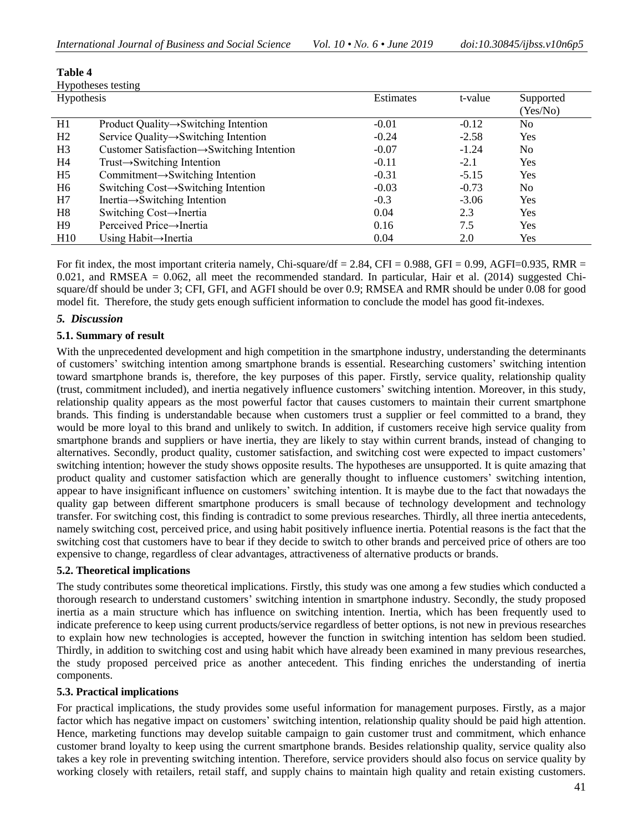| таше ч         |                                                         |           |         |           |  |  |
|----------------|---------------------------------------------------------|-----------|---------|-----------|--|--|
|                | Hypotheses testing                                      |           |         |           |  |  |
| Hypothesis     |                                                         | Estimates | t-value | Supported |  |  |
|                |                                                         |           |         | (Yes/No)  |  |  |
| H1             | Product Quality $\rightarrow$ Switching Intention       | $-0.01$   | $-0.12$ | No.       |  |  |
| H2             | Service Quality $\rightarrow$ Switching Intention       | $-0.24$   | $-2.58$ | Yes       |  |  |
| H <sub>3</sub> | Customer Satisfaction $\rightarrow$ Switching Intention | $-0.07$   | $-1.24$ | No.       |  |  |
| H4             | $Trust \rightarrow Switching$ Intention                 | $-0.11$   | $-2.1$  | Yes       |  |  |
| H <sub>5</sub> | Commitment $\rightarrow$ Switching Intention            | $-0.31$   | $-5.15$ | Yes       |  |  |
| H <sub>6</sub> | Switching Cost→Switching Intention                      | $-0.03$   | $-0.73$ | No.       |  |  |
| H7             | Inertia $\rightarrow$ Switching Intention               | $-0.3$    | $-3.06$ | Yes       |  |  |
| H <sub>8</sub> | Switching Cost→Inertia                                  | 0.04      | 2.3     | Yes       |  |  |
| H <sup>9</sup> | Perceived Price→Inertia                                 | 0.16      | 7.5     | Yes       |  |  |
| H10            | Using Habit $\rightarrow$ Inertia                       | 0.04      | 2.0     | Yes       |  |  |

For fit index, the most important criteria namely, Chi-square/df = 2.84, CFI = 0.988, GFI = 0.99, AGFI=0.935, RMR =  $0.021$ , and RMSEA =  $0.062$ , all meet the recommended standard. In particular, Hair et al. (2014) suggested Chisquare/df should be under 3; CFI, GFI, and AGFI should be over 0.9; RMSEA and RMR should be under 0.08 for good model fit. Therefore, the study gets enough sufficient information to conclude the model has good fit-indexes.

# *5. Discussion*

**Table 4**

### **5.1. Summary of result**

With the unprecedented development and high competition in the smartphone industry, understanding the determinants of customers' switching intention among smartphone brands is essential. Researching customers' switching intention toward smartphone brands is, therefore, the key purposes of this paper. Firstly, service quality, relationship quality (trust, commitment included), and inertia negatively influence customers' switching intention. Moreover, in this study, relationship quality appears as the most powerful factor that causes customers to maintain their current smartphone brands. This finding is understandable because when customers trust a supplier or feel committed to a brand, they would be more loyal to this brand and unlikely to switch. In addition, if customers receive high service quality from smartphone brands and suppliers or have inertia, they are likely to stay within current brands, instead of changing to alternatives. Secondly, product quality, customer satisfaction, and switching cost were expected to impact customers' switching intention; however the study shows opposite results. The hypotheses are unsupported. It is quite amazing that product quality and customer satisfaction which are generally thought to influence customers' switching intention, appear to have insignificant influence on customers' switching intention. It is maybe due to the fact that nowadays the quality gap between different smartphone producers is small because of technology development and technology transfer. For switching cost, this finding is contradict to some previous researches. Thirdly, all three inertia antecedents, namely switching cost, perceived price, and using habit positively influence inertia. Potential reasons is the fact that the switching cost that customers have to bear if they decide to switch to other brands and perceived price of others are too expensive to change, regardless of clear advantages, attractiveness of alternative products or brands.

#### **5.2. Theoretical implications**

The study contributes some theoretical implications. Firstly, this study was one among a few studies which conducted a thorough research to understand customers' switching intention in smartphone industry. Secondly, the study proposed inertia as a main structure which has influence on switching intention. Inertia, which has been frequently used to indicate preference to keep using current products/service regardless of better options, is not new in previous researches to explain how new technologies is accepted, however the function in switching intention has seldom been studied. Thirdly, in addition to switching cost and using habit which have already been examined in many previous researches, the study proposed perceived price as another antecedent. This finding enriches the understanding of inertia components.

#### **5.3. Practical implications**

For practical implications, the study provides some useful information for management purposes. Firstly, as a major factor which has negative impact on customers' switching intention, relationship quality should be paid high attention. Hence, marketing functions may develop suitable campaign to gain customer trust and commitment, which enhance customer brand loyalty to keep using the current smartphone brands. Besides relationship quality, service quality also takes a key role in preventing switching intention. Therefore, service providers should also focus on service quality by working closely with retailers, retail staff, and supply chains to maintain high quality and retain existing customers.